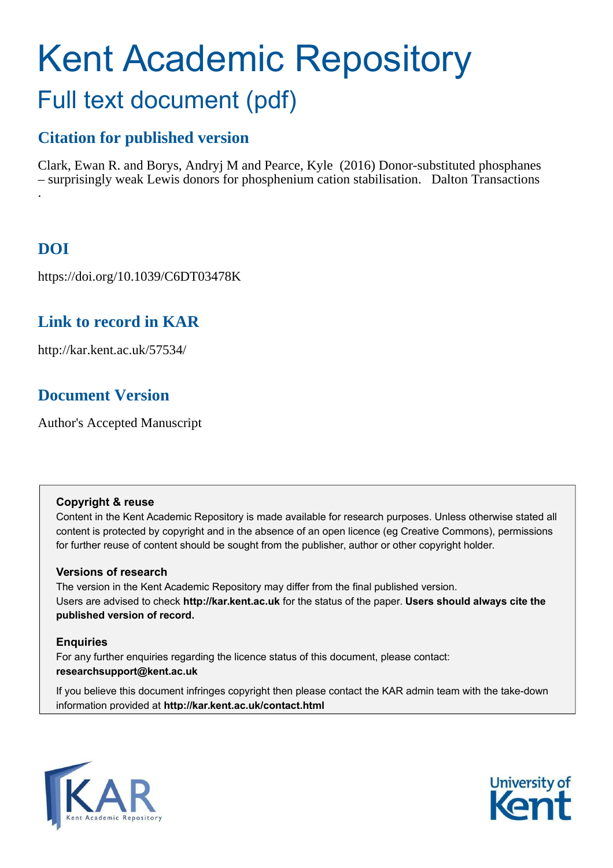# Kent Academic Repository Full text document (pdf)

# **Citation for published version**

Clark, Ewan R. and Borys, Andryj M and Pearce, Kyle (2016) Donor-substituted phosphanes – surprisingly weak Lewis donors for phosphenium cation stabilisation. Dalton Transactions .

# **DOI**

https://doi.org/10.1039/C6DT03478K

# **Link to record in KAR**

http://kar.kent.ac.uk/57534/

# **Document Version**

Author's Accepted Manuscript

#### **Copyright & reuse**

Content in the Kent Academic Repository is made available for research purposes. Unless otherwise stated all content is protected by copyright and in the absence of an open licence (eg Creative Commons), permissions for further reuse of content should be sought from the publisher, author or other copyright holder.

#### **Versions of research**

The version in the Kent Academic Repository may differ from the final published version. Users are advised to check **http://kar.kent.ac.uk** for the status of the paper. **Users should always cite the published version of record.**

#### **Enquiries**

For any further enquiries regarding the licence status of this document, please contact: **researchsupport@kent.ac.uk**

If you believe this document infringes copyright then please contact the KAR admin team with the take-down information provided at **http://kar.kent.ac.uk/contact.html**



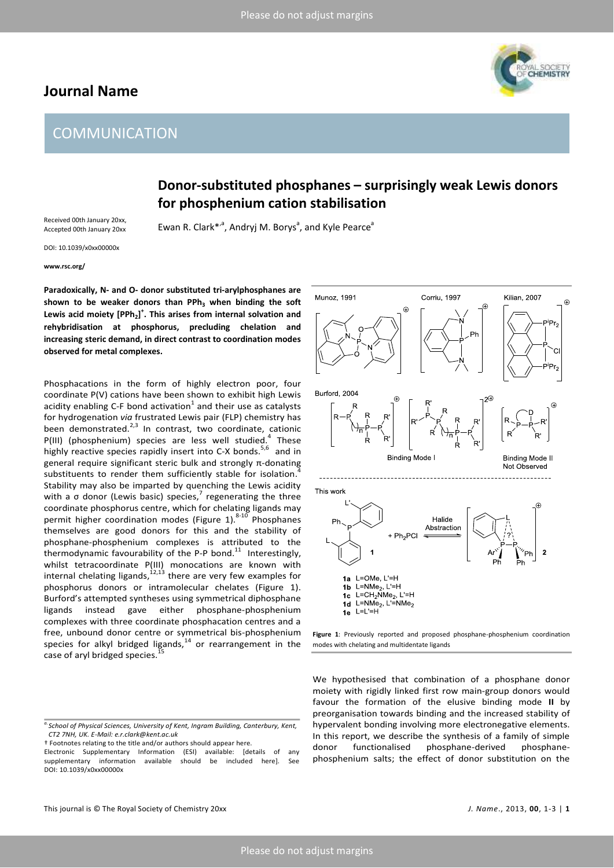### **Journal Name**

# **HEMISTRY**

# **COMMUNICATION**

## **Donor-substituted phosphanes – surprisingly weak Lewis donors for phosphenium cation stabilisation**

Received 00th January 20xx, Accepted 00th January 20xx

Ewan R. Clark<sup>\*,a</sup>, Andryj M. Borys<sup>a</sup>, and Kyle Pearce<sup>a</sup>

DOI: 10.1039/x0xx00000x

**www.rsc.org/** 

**Paradoxically, N- and O- donor substituted tri-arylphosphanes are shown to be weaker donors than PPh<sup>3</sup> when binding the soft Lewis acid moiety [PPh<sup>2</sup> ] + . This arises from internal solvation and rehybridisation at phosphorus, precluding chelation and increasing steric demand, in direct contrast to coordination modes observed for metal complexes.** 

Phosphacations in the form of highly electron poor, four coordinate P(V) cations have been shown to exhibit high Lewis acidity enabling C-F bond activation<sup>1</sup> and their use as catalysts for hydrogenation *via* frustrated Lewis pair (FLP) chemistry has been demonstrated. $2,3}$  In contrast, two coordinate, cationic  $P(III)$  (phosphenium) species are less well studied.<sup>4</sup> These highly reactive species rapidly insert into C-X bonds.<sup>5,6</sup> and in general require significant steric bulk and strongly  $\pi$ -donating substituents to render them sufficiently stable for isolation. Stability may also be imparted by quenching the Lewis acidity with a  $\sigma$  donor (Lewis basic) species,<sup>7</sup> regenerating the three coordinate phosphorus centre, which for chelating ligands may permit higher coordination modes (Figure 1). $8-10$  Phosphanes themselves are good donors for this and the stability of phosphane-phosphenium complexes is attributed to the thermodynamic favourability of the P-P bond. $^{11}$  Interestingly, whilst tetracoordinate P(III) monocations are known with internal chelating ligands, $^{12,13}$  there are very few examples for phosphorus donors or intramolecular chelates (Figure 1). Burford's attempted syntheses using symmetrical diphosphane ligands instead gave either phosphane-phosphenium complexes with three coordinate phosphacation centres and a free, unbound donor centre or symmetrical bis-phosphenium species for alkyl bridged ligands, $^{14}$  or rearrangement in the case of aryl bridged species.

t Footnotes relating to the title and/or authors should appear here.



**Figure 1**: Previously reported and proposed phosphane-phosphenium coordination modes with chelating and multidentate ligands

We hypothesised that combination of a phosphane donor moiety with rigidly linked first row main-group donors would favour the formation of the elusive binding mode **II** by preorganisation towards binding and the increased stability of hypervalent bonding involving more electronegative elements. In this report, we describe the synthesis of a family of simple donor functionalised phosphane-derived phosphanephosphenium salts; the effect of donor substitution on the

*a.School of Physical Sciences, University of Kent, Ingram Building, Canterbury, Kent, CT2 7NH, UK. E-Mail: e.r.clark@kent.ac.uk* 

Electronic Supplementary Information (ESI) available: [details of any supplementary information available should be included here]. See DOI: 10.1039/x0xx00000x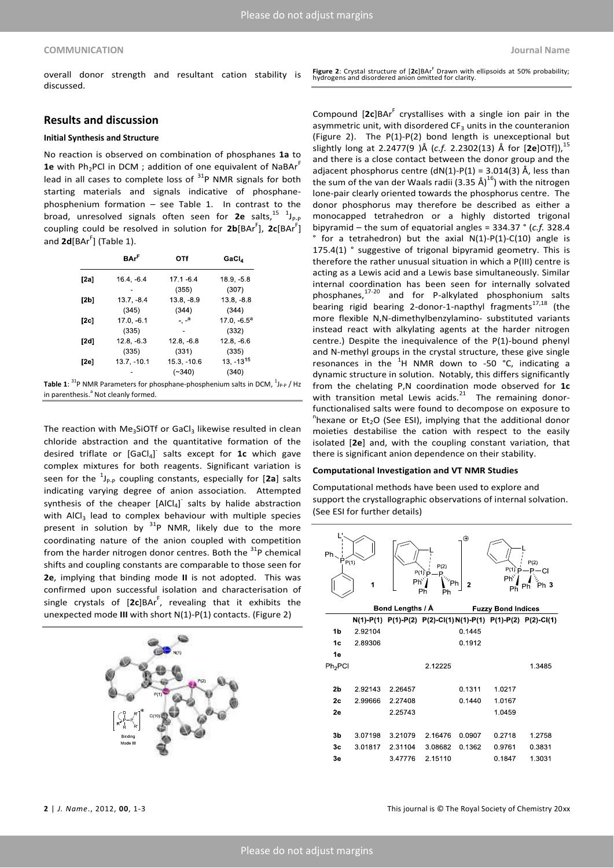overall donor strength and resultant cation stability is discussed.

#### **Results and discussion**

#### **Initial Synthesis and Structure**

No reaction is observed on combination of phosphanes **1a** to **1e** with Ph<sub>2</sub>PCI in DCM ; addition of one equivalent of NaBAr<sup>F</sup> lead in all cases to complete loss of  $31P$  NMR signals for both starting materials and signals indicative of phosphanephosphenium formation  $-$  see Table 1. In contrast to the broad, unresolved signals often seen for 2e salts,<sup>15 1</sup>J<sub>P-P</sub> coupling could be resolved in solution for 2b[BAr<sup>F</sup>], 2c[BAr<sup>F</sup>] and 2**d**[BAr<sup>F</sup>] (Table 1).

|      | <b>BAr<sup>F</sup></b> | OTf                      | GaCl,                                                                      |
|------|------------------------|--------------------------|----------------------------------------------------------------------------|
| [2a] | $16.4, -6.4$           | $17.1 - 6.4$             | $18.9 - 5.8$                                                               |
|      |                        | (355)                    | (307)                                                                      |
| [2b] | $13.7, -8.4$           | $13.8 - 8.9$             | $13.8, -8.8$                                                               |
|      | (345)                  | (344)                    | (344)                                                                      |
| [2c] | $17.0, -6.1$           | $\overline{\phantom{a}}$ | 17.0, $-6.5^a$                                                             |
|      | (335)                  |                          | (332)                                                                      |
| [2d] | $12.8. -6.3$           | $12.8. -6.8$             | $12.8. -6.6$                                                               |
|      | (335)                  | (331)                    | (335)                                                                      |
| [2e] | 13.7, -10.1            | $15.3. -10.6$            | $13, -13^{15}$                                                             |
|      |                        | $(-340)$                 | (340)                                                                      |
|      |                        |                          | $P_{\rm{D}}$ MMP Parameters for phosphane phosphonium salts in DCM $^{11}$ |

**Table 1**:  ${}^{31}P$  NMR Parameters for phosphane-phosphenium salts in DCM,  ${}^{1}J_{P\text{-}P}$  / Hz in parenthesis.<sup>a</sup> Not cleanly formed.

The reaction with Me<sub>3</sub>SiOTf or GaCl<sub>3</sub> likewise resulted in clean chloride abstraction and the quantitative formation of the desired triflate or [GaCl<sub>4</sub>]<sup>-</sup> salts except for **1c** which gave complex mixtures for both reagents. Significant variation is seen for the  $\binom{1}{P-p}$  coupling constants, especially for [2a] salts indicating varying degree of anion association. Attempted synthesis of the cheaper  $[AlCl_4]$  salts by halide abstraction with AICI<sub>3</sub> lead to complex behaviour with multiple species present in solution by  $31P$  NMR, likely due to the more coordinating nature of the anion coupled with competition from the harder nitrogen donor centres. Both the  $31P$  chemical shifts and coupling constants are comparable to those seen for **2e**, implying that binding mode **II** is not adopted. This was confirmed upon successful isolation and characterisation of single crystals of [2c]BAr<sup>F</sup>, revealing that it exhibits the unexpected mode **III** with short N(1)-P(1) contacts. (Figure 2)



**Figure 2**: Crystal structure of [2c]BAr<sup>F</sup> Drawn with ellipsoids at 50% probability;<br>hydrogens and disordered anion omitted for clarity.

Compound [2c]BAr<sup>F</sup> crystallises with a single ion pair in the asymmetric unit, with disordered  $CF_3$  units in the counteranion (Figure 2). The P(1)-P(2) bond length is unexceptional but slightly long at 2.2477(9 )Å (c.f. 2.2302(13) Å for [2e]OTf]),<sup>15</sup> and there is a close contact between the donor group and the adjacent phosphorus centre  $(dN(1)-P(1) = 3.014(3)$  Å, less than the sum of the van der Waals radii (3.35 Å)<sup>16</sup>) with the nitrogen lone-pair clearly oriented towards the phosphorus centre. The donor phosphorus may therefore be described as either a monocapped tetrahedron or a highly distorted trigonal bipyramid – the sum of equatorial angles = 334.37 ° (*c.f.* 328.4  $\degree$  for a tetrahedron) but the axial N(1)-P(1)-C(10) angle is 175.4(1) ° suggestive of trigonal bipyramid geometry. This is therefore the rather unusual situation in which a P(III) centre is acting as a Lewis acid and a Lewis base simultaneously. Similar internal coordination has been seen for internally solvated phosphanes,<sup>17-20</sup> and for P-alkylated phosphonium salts bearing rigid bearing 2-donor-1-napthyl fragments $^{17,18}$  (the more flexible N,N-dimethylbenzylamino- substituted variants instead react with alkylating agents at the harder nitrogen centre.) Despite the inequivalence of the P(1)-bound phenyl and N-methyl groups in the crystal structure, these give single resonances in the  ${}^{1}H$  NMR down to -50 °C, indicating a dynamic structure in solution. Notably, this differs significantly from the chelating P,N coordination mode observed for **1c** with transition metal Lewis acids. $21$  The remaining donorfunctionalised salts were found to decompose on exposure to  $n_{\text{hexane}}$  or Et<sub>2</sub>O (See ESI), implying that the additional donor moieties destabilise the cation with respect to the easily isolated [**2e**] and, with the coupling constant variation, that there is significant anion dependence on their stability.

#### **Computational Investigation and VT NMR Studies**

Computational methods have been used to explore and support the crystallographic observations of internal solvation. (See ESI for further details)

| $Ph_{\smallsetminus}$<br>$\dot{P}_{P(1)}$ |                  | $Ph^{\circ}$              | P(2)<br>$P(1)$ p<br>$T_{\gamma_{\gamma_{\text{ph}}}}$<br>Ph<br>Ph | $\oplus$<br>$\overline{2}$ | $P(1)$ $p$<br>Phì<br>Ph | P(2)<br>$P - CI$<br>⊱<br>Ph 3<br>Ph                          |
|-------------------------------------------|------------------|---------------------------|-------------------------------------------------------------------|----------------------------|-------------------------|--------------------------------------------------------------|
|                                           | Bond Lengths / Å | <b>Fuzzy Bond Indices</b> |                                                                   |                            |                         |                                                              |
|                                           |                  |                           |                                                                   |                            |                         | N(1)-P(1) P(1)-P(2) P(2)-Cl(1)N(1)-P(1) P(1)-P(2) P(2)-Cl(1) |
| 1 <sub>b</sub>                            | 2.92104          |                           |                                                                   | 0.1445                     |                         |                                                              |
| 1c                                        | 2.89306          |                           |                                                                   | 0.1912                     |                         |                                                              |
| 1e                                        |                  |                           |                                                                   |                            |                         |                                                              |
| $Ph2$ PCI                                 |                  |                           | 2.12225                                                           |                            |                         | 1.3485                                                       |
|                                           |                  |                           |                                                                   |                            |                         |                                                              |
| 2b                                        | 2.92143          | 2.26457                   |                                                                   | 0.1311                     | 1.0217                  |                                                              |
| 2 <sub>c</sub>                            | 2.99666          | 2.27408                   |                                                                   | 0.1440                     | 1.0167                  |                                                              |
| 2e                                        |                  | 2.25743                   |                                                                   |                            | 1.0459                  |                                                              |
|                                           |                  |                           |                                                                   |                            |                         |                                                              |
| 3b                                        | 3.07198          | 3.21079                   | 2.16476                                                           | 0.0907                     | 0.2718                  | 1.2758                                                       |
| 3 <sub>c</sub>                            | 3.01817          | 2.31104                   | 3.08682                                                           | 0.1362                     | 0.9761                  | 0.3831                                                       |
| 3e                                        |                  | 3.47776                   | 2.15110                                                           |                            | 0.1847                  | 1.3031                                                       |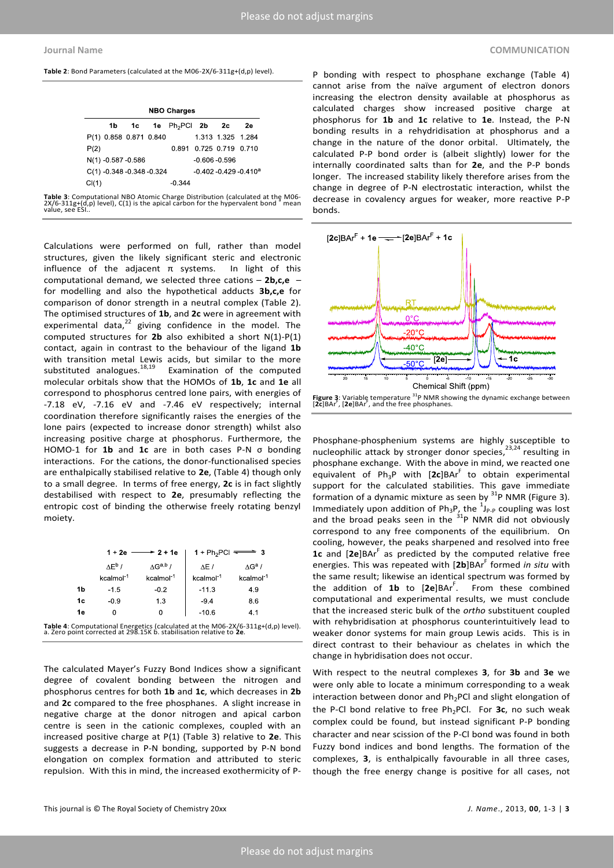**Table 2**: Bond Parameters (calculated at the M06-2X/6-311g+(d,p) level).

|       |                    |                             | 1b 1c 1e $Ph_2$ PCI 2b 2c |               |                                       | 2е |
|-------|--------------------|-----------------------------|---------------------------|---------------|---------------------------------------|----|
|       |                    | P(1) 0.858 0.871 0.840      |                           |               | 1 313 1 325 1 284                     |    |
| P(2)  |                    |                             |                           |               | 0.891 0.725 0.719 0.710               |    |
|       | N(1) -0.587 -0.586 |                             |                           | -0.606 -0.596 |                                       |    |
|       |                    | $C(1)$ -0.348 -0.348 -0.324 |                           |               | $-0.402 - 0.429 - 0.410$ <sup>a</sup> |    |
| Cl(1) |                    |                             | $-0.344$                  |               |                                       |    |

**Table 3**: Computational NBO Atomic Charge Distribution (calculated at the M06-<br>2X/6-311g+(d,p) level), C(1) is the apical carbon for the hypervalent bond a mean<br>value, see ESI..

Calculations were performed on full, rather than model structures, given the likely significant steric and electronic influence of the adjacent  $\pi$  systems. In light of this computational demand, we selected three cations - 2b,c,e for modelling and also the hypothetical adducts **3b,c,e** for comparison of donor strength in a neutral complex (Table 2). The optimised structures of **1b**, and **2c** were in agreement with experimental data, $^{22}$  giving confidence in the model. The computed structures for **2b** also exhibited a short N(1)-P(1) contact, again in contrast to the behaviour of the ligand **1b** with transition metal Lewis acids, but similar to the more substituted analogues.<sup>18,19</sup> Examination of the computed molecular orbitals show that the HOMOs of **1b**, **1c** and **1e** all correspond to phosphorus centred lone pairs, with energies of -7.18 eV, -7.16 eV and -7.46 eV respectively; internal coordination therefore significantly raises the energies of the lone pairs (expected to increase donor strength) whilst also increasing positive charge at phosphorus. Furthermore, the HOMO-1 for 1b and 1c are in both cases P-N o bonding interactions. For the cations, the donor-functionalised species are enthalpically stabilised relative to **2e**, (Table 4) though only to a small degree. In terms of free energy, **2c** is in fact slightly destabilised with respect to **2e**, presumably reflecting the entropic cost of binding the otherwise freely rotating benzyl moiety.

|                                                                                                                                                         | $\rightarrow$ 2 + 1e<br>1 + 2e |                              | 1 + Ph <sub>2</sub> PCI $\overline{\bullet}$ 3 |                           |  |  |
|---------------------------------------------------------------------------------------------------------------------------------------------------------|--------------------------------|------------------------------|------------------------------------------------|---------------------------|--|--|
|                                                                                                                                                         | $\Lambda$ $F^{\rm b}$ /        | $\Lambda$ G <sup>a,b</sup> / | AE /                                           | $\wedge$ G <sup>a</sup> / |  |  |
|                                                                                                                                                         | kcalmol <sup>-1</sup>          | kcalmol <sup>-1</sup>        | kcalmol <sup>-1</sup>                          | kcalmol <sup>-1</sup>     |  |  |
| 1b                                                                                                                                                      | $-1.5$                         | $-0.2$                       | $-11.3$                                        | 4.9                       |  |  |
| 1c                                                                                                                                                      | $-0.9$                         | 1.3                          | $-9.4$                                         | 8.6                       |  |  |
| 1e                                                                                                                                                      | 0                              | 0                            | $-10.6$                                        | 4.1                       |  |  |
| Table 4: Computational Energetics (calculated at the M06-2X/6-311g+(d,p) level).<br>a. Zero point corrected at 298.15K b. stabilisation relative to 2e. |                                |                              |                                                |                           |  |  |

The calculated Mayer's Fuzzy Bond Indices show a significant degree of covalent bonding between the nitrogen and phosphorus centres for both **1b** and **1c**, which decreases in **2b** and **2c** compared to the free phosphanes. A slight increase in negative charge at the donor nitrogen and apical carbon centre is seen in the cationic complexes, coupled with an increased positive charge at P(1) (Table 3) relative to **2e**. This suggests a decrease in P-N bonding, supported by P-N bond elongation on complex formation and attributed to steric repulsion. With this in mind, the increased exothermicity of P-

P bonding with respect to phosphane exchange (Table 4) cannot arise from the naïve argument of electron donors increasing the electron density available at phosphorus as calculated charges show increased positive charge at phosphorus for **1b** and **1c** relative to **1e**. Instead, the P-N bonding results in a rehydridisation at phosphorus and a change in the nature of the donor orbital. Ultimately, the calculated P-P bond order is (albeit slightly) lower for the internally coordinated salts than for **2e**, and the P-P bonds longer. The increased stability likely therefore arises from the change in degree of P-N electrostatic interaction, whilst the decrease in covalency argues for weaker, more reactive P-P bonds.



Phosphane-phosphenium systems are highly susceptible to nucleophilic attack by stronger donor species, $^{23,24}$  resulting in phosphane exchange. With the above in mind, we reacted one equivalent of  $Ph_3P$  with  $[2c]BAr^F$  to obtain experimental support for the calculated stabilities. This gave immediate formation of a dynamic mixture as seen by <sup>31</sup>P NMR (Figure 3). Immediately upon addition of  $Ph_3P$ , the  $^1J_{P-P}$  coupling was lost and the broad peaks seen in the  $31P$  NMR did not obviously correspond to any free components of the equilibrium. On cooling, however, the peaks sharpened and resolved into free 1c and [2e]BAr<sup>F</sup> as predicted by the computed relative free energies. This was repeated with [2b]BAr<sup>F</sup> formed *in situ* with the same result; likewise an identical spectrum was formed by the addition of 1b to [2e]BAr<sup>F</sup>. From these combined computational and experimental results, we must conclude that the increased steric bulk of the *ortho* substituent coupled with rehybridisation at phosphorus counterintuitively lead to weaker donor systems for main group Lewis acids. This is in direct contrast to their behaviour as chelates in which the change in hybridisation does not occur.

With respect to the neutral complexes **3**, for **3b** and **3e** we were only able to locate a minimum corresponding to a weak interaction between donor and  $Ph<sub>2</sub>PCl$  and slight elongation of the P-Cl bond relative to free Ph<sub>2</sub>PCl. For 3c, no such weak complex could be found, but instead significant P-P bonding character and near scission of the P-Cl bond was found in both Fuzzy bond indices and bond lengths. The formation of the complexes, **3**, is enthalpically favourable in all three cases, though the free energy change is positive for all cases, not